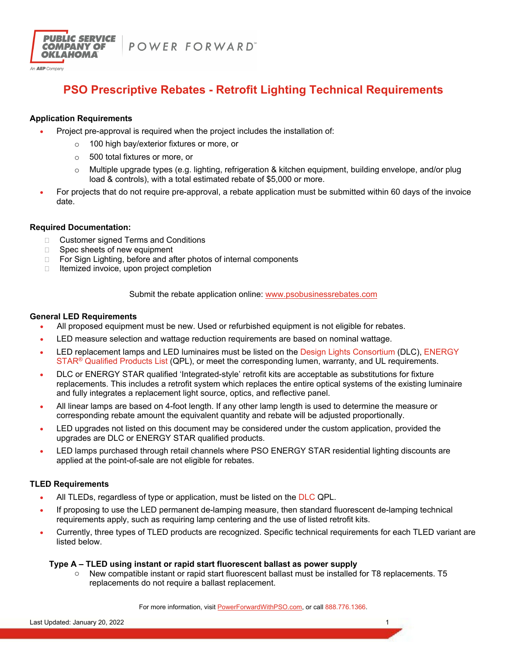



# **PSO Prescriptive Rebates - Retrofit Lighting Technical Requirements**

# **Application Requirements**

- Project pre-approval is required when the project includes the installation of:
	- o 100 high bay/exterior fixtures or more, or
	- o 500 total fixtures or more, or
	- $\circ$  Multiple upgrade types (e.g. lighting, refrigeration & kitchen equipment, building envelope, and/or plug load & controls), with a total estimated rebate of \$5,000 or more.
- For projects that do not require pre-approval, a rebate application must be submitted within 60 days of the invoice date.

#### **Required Documentation:**

- □ Customer signed Terms and Conditions
- $\Box$  Spec sheets of new equipment
- □ For Sign Lighting, before and after photos of internal components
- $\Box$  Itemized invoice, upon project completion

Submit the rebate application online: www.psobusinessrebates.com

#### **General LED Requirements**

- All proposed equipment must be new. Used or refurbished equipment is not eligible for rebates.
- LED measure selection and wattage reduction requirements are based on nominal wattage.
- LED replacement lamps and LED luminaires must be listed on the Design Lights Consortium (DLC), ENERGY STAR<sup>®</sup> Qualified Products List (QPL), or meet the corresponding lumen, warranty, and UL requirements.
- DLC or ENERGY STAR qualified 'Integrated-style' retrofit kits are acceptable as substitutions for fixture replacements. This includes a retrofit system which replaces the entire optical systems of the existing luminaire and fully integrates a replacement light source, optics, and reflective panel.
- All linear lamps are based on 4-foot length. If any other lamp length is used to determine the measure or corresponding rebate amount the equivalent quantity and rebate will be adjusted proportionally.
- LED upgrades not listed on this document may be considered under the custom application, provided the upgrades are DLC or ENERGY STAR qualified products.
- LED lamps purchased through retail channels where PSO ENERGY STAR residential lighting discounts are applied at the point-of-sale are not eligible for rebates.

# **TLED Requirements**

- All TLEDs, regardless of type or application, must be listed on the DLC QPL.
- If proposing to use the LED permanent de-lamping measure, then standard fluorescent de-lamping technical requirements apply, such as requiring lamp centering and the use of listed retrofit kits.
- Currently, three types of TLED products are recognized. Specific technical requirements for each TLED variant are listed below.

#### **Type A – TLED using instant or rapid start fluorescent ballast as power supply**

o New compatible instant or rapid start fluorescent ballast must be installed for T8 replacements. T5 replacements do not require a ballast replacement.

For more information, visit PowerForwardWithPSO.com, or call 888.776.1366.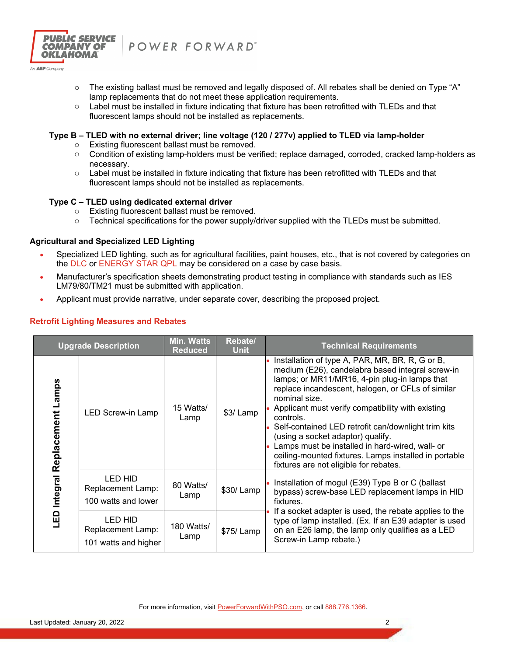

POWER FORWARD"

- $\circ$  The existing ballast must be removed and legally disposed of. All rebates shall be denied on Type "A" lamp replacements that do not meet these application requirements.
- o Label must be installed in fixture indicating that fixture has been retrofitted with TLEDs and that fluorescent lamps should not be installed as replacements.

#### **Type B – TLED with no external driver; line voltage (120 / 277v) applied to TLED via lamp-holder**

- o Existing fluorescent ballast must be removed.
- o Condition of existing lamp-holders must be verified; replace damaged, corroded, cracked lamp-holders as necessary.
- o Label must be installed in fixture indicating that fixture has been retrofitted with TLEDs and that fluorescent lamps should not be installed as replacements.

#### **Type C – TLED using dedicated external driver**

- o Existing fluorescent ballast must be removed.
- $\circ$  Technical specifications for the power supply/driver supplied with the TLEDs must be submitted.

#### **Agricultural and Specialized LED Lighting**

- Specialized LED lighting, such as for agricultural facilities, paint houses, etc., that is not covered by categories on the DLC or ENERGY STAR QPL may be considered on a case by case basis.
- Manufacturer's specification sheets demonstrating product testing in compliance with standards such as IES LM79/80/TM21 must be submitted with application.
- Applicant must provide narrative, under separate cover, describing the proposed project.

| <b>Upgrade Description</b>            |                                                      | <b>Min. Watts</b><br><b>Reduced</b> | Rebate/<br><b>Unit</b> | <b>Technical Requirements</b>                                                                                                                                                                                                                                                                                                                                                                                                                                                                                                                  |
|---------------------------------------|------------------------------------------------------|-------------------------------------|------------------------|------------------------------------------------------------------------------------------------------------------------------------------------------------------------------------------------------------------------------------------------------------------------------------------------------------------------------------------------------------------------------------------------------------------------------------------------------------------------------------------------------------------------------------------------|
| Lamps<br>Replacement<br>Integral<br>G | LED Screw-in Lamp                                    | 15 Watts/<br>Lamp                   | \$3/Lamp               | Installation of type A, PAR, MR, BR, R, G or B,<br>medium (E26), candelabra based integral screw-in<br>lamps; or MR11/MR16, 4-pin plug-in lamps that<br>replace incandescent, halogen, or CFLs of similar<br>nominal size.<br>Applicant must verify compatibility with existing<br>controls.<br>Self-contained LED retrofit can/downlight trim kits<br>(using a socket adaptor) qualify.<br>Lamps must be installed in hard-wired, wall- or<br>ceiling-mounted fixtures. Lamps installed in portable<br>fixtures are not eligible for rebates. |
|                                       | LED HID<br>Replacement Lamp:<br>100 watts and lower  | 80 Watts/<br>Lamp                   | \$30/Lamp              | Installation of mogul (E39) Type B or C (ballast<br>bypass) screw-base LED replacement lamps in HID<br>fixtures.                                                                                                                                                                                                                                                                                                                                                                                                                               |
|                                       | LED HID<br>Replacement Lamp:<br>101 watts and higher | 180 Watts/<br>Lamp                  | \$75/Lamp              | If a socket adapter is used, the rebate applies to the<br>type of lamp installed. (Ex. If an E39 adapter is used<br>on an E26 lamp, the lamp only qualifies as a LED<br>Screw-in Lamp rebate.)                                                                                                                                                                                                                                                                                                                                                 |

# **Retrofit Lighting Measures and Rebates**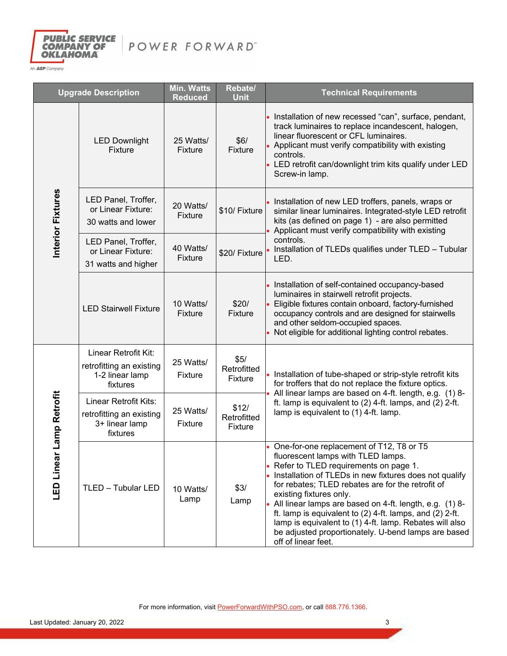

| <b>Upgrade Description</b> |                                                                                 | <b>Min. Watts</b><br><b>Reduced</b> | Rebate/<br><b>Unit</b>                | <b>Technical Requirements</b>                                                                                                                                                                                                                                                                                                                                                                                                                                                                                                         |
|----------------------------|---------------------------------------------------------------------------------|-------------------------------------|---------------------------------------|---------------------------------------------------------------------------------------------------------------------------------------------------------------------------------------------------------------------------------------------------------------------------------------------------------------------------------------------------------------------------------------------------------------------------------------------------------------------------------------------------------------------------------------|
|                            | <b>LED Downlight</b><br><b>Fixture</b>                                          | 25 Watts/<br><b>Fixture</b>         | \$6/<br>Fixture                       | Installation of new recessed "can", surface, pendant,<br>track luminaires to replace incandescent, halogen,<br>linear fluorescent or CFL luminaires.<br>Applicant must verify compatibility with existing<br>controls.<br>• LED retrofit can/downlight trim kits qualify under LED<br>Screw-in lamp.                                                                                                                                                                                                                                  |
| Interior Fixtures          | LED Panel, Troffer,<br>or Linear Fixture:<br>30 watts and lower                 | 20 Watts/<br><b>Fixture</b>         | \$10/ Fixture                         | Installation of new LED troffers, panels, wraps or<br>similar linear luminaires. Integrated-style LED retrofit<br>kits (as defined on page 1) - are also permitted<br>Applicant must verify compatibility with existing                                                                                                                                                                                                                                                                                                               |
|                            | LED Panel, Troffer,<br>or Linear Fixture:<br>31 watts and higher                | 40 Watts/<br><b>Fixture</b>         | \$20/ Fixture                         | controls.<br>Installation of TLEDs qualifies under TLED - Tubular<br>LED.                                                                                                                                                                                                                                                                                                                                                                                                                                                             |
|                            | <b>LED Stairwell Fixture</b>                                                    | 10 Watts/<br>Fixture                | \$20/<br>Fixture                      | Installation of self-contained occupancy-based<br>luminaires in stairwell retrofit projects.<br>Eligible fixtures contain onboard, factory-furnished<br>occupancy controls and are designed for stairwells<br>and other seldom-occupied spaces.<br>Not eligible for additional lighting control rebates.                                                                                                                                                                                                                              |
| Lamp Retrofit              | Linear Retrofit Kit:<br>retrofitting an existing<br>1-2 linear lamp<br>fixtures | 25 Watts/<br>Fixture                | \$5/<br>Retrofitted<br><b>Fixture</b> | Installation of tube-shaped or strip-style retrofit kits<br>for troffers that do not replace the fixture optics.<br>All linear lamps are based on 4-ft. length, e.g. (1) 8-                                                                                                                                                                                                                                                                                                                                                           |
|                            | Linear Retrofit Kits:<br>retrofitting an existing<br>3+ linear lamp<br>fixtures | 25 Watts/<br>Fixture                | \$12/<br>Retrofitted<br>Fixture       | ft. lamp is equivalent to (2) 4-ft. lamps, and (2) 2-ft.<br>lamp is equivalent to (1) 4-ft. lamp.                                                                                                                                                                                                                                                                                                                                                                                                                                     |
| LED Linear                 | TLED - Tubular LED                                                              | 10 Watts/<br>Lamp                   | \$3/<br>Lamp                          | One-for-one replacement of T12, T8 or T5<br>fluorescent lamps with TLED lamps.<br>Refer to TLED requirements on page 1.<br>Installation of TLEDs in new fixtures does not qualify<br>for rebates; TLED rebates are for the retrofit of<br>existing fixtures only.<br>All linear lamps are based on 4-ft. length, e.g. (1) 8-<br>ft. lamp is equivalent to $(2)$ 4-ft. lamps, and $(2)$ 2-ft.<br>lamp is equivalent to (1) 4-ft. lamp. Rebates will also<br>be adjusted proportionately. U-bend lamps are based<br>off of linear feet. |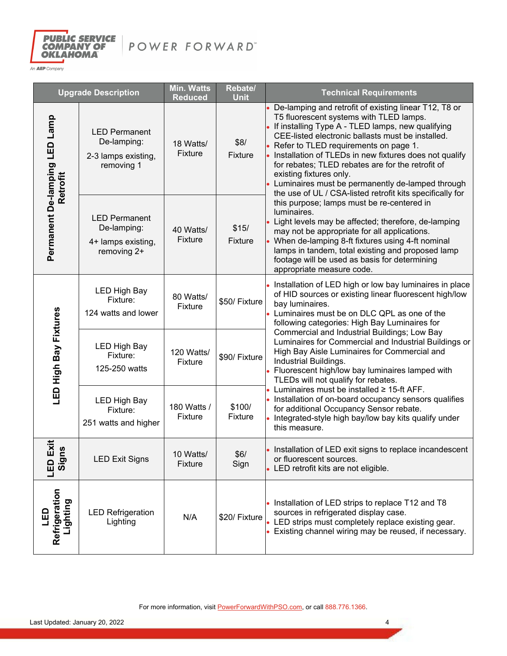

| <b>Upgrade Description</b>                |                                                                          | Min. Watts<br><b>Reduced</b> | Rebate/<br><b>Unit</b>  | <b>Technical Requirements</b>                                                                                                                                                                                                                                                                                                                                                                                                                                                                                  |
|-------------------------------------------|--------------------------------------------------------------------------|------------------------------|-------------------------|----------------------------------------------------------------------------------------------------------------------------------------------------------------------------------------------------------------------------------------------------------------------------------------------------------------------------------------------------------------------------------------------------------------------------------------------------------------------------------------------------------------|
| Permanent De-lamping LED Lamp<br>Retrofit | <b>LED Permanent</b><br>De-lamping:<br>2-3 lamps existing,<br>removing 1 | 18 Watts/<br><b>Fixture</b>  | \$8/<br>Fixture         | De-lamping and retrofit of existing linear T12, T8 or<br>T5 fluorescent systems with TLED lamps.<br>If installing Type A - TLED lamps, new qualifying<br>CEE-listed electronic ballasts must be installed.<br>Refer to TLED requirements on page 1.<br>Installation of TLEDs in new fixtures does not qualify<br>for rebates; TLED rebates are for the retrofit of<br>existing fixtures only.<br>Luminaires must be permanently de-lamped through<br>the use of UL / CSA-listed retrofit kits specifically for |
|                                           | <b>LED Permanent</b><br>De-lamping:<br>4+ lamps existing,<br>removing 2+ | 40 Watts/<br>Fixture         | \$15/<br><b>Fixture</b> | this purpose; lamps must be re-centered in<br>luminaires.<br>Light levels may be affected; therefore, de-lamping<br>may not be appropriate for all applications.<br>When de-lamping 8-ft fixtures using 4-ft nominal<br>lamps in tandem, total existing and proposed lamp<br>footage will be used as basis for determining<br>appropriate measure code.                                                                                                                                                        |
| LED High Bay Fixtures                     | <b>LED High Bay</b><br>Fixture:<br>124 watts and lower                   | 80 Watts/<br>Fixture         | \$50/ Fixture           | Installation of LED high or low bay luminaires in place<br>of HID sources or existing linear fluorescent high/low<br>bay luminaires.<br>Luminaires must be on DLC QPL as one of the<br>following categories: High Bay Luminaires for                                                                                                                                                                                                                                                                           |
|                                           | <b>LED High Bay</b><br>Fixture:<br>125-250 watts                         | 120 Watts/<br>Fixture        | \$90/ Fixture           | Commercial and Industrial Buildings; Low Bay<br>Luminaires for Commercial and Industrial Buildings or<br>High Bay Aisle Luminaires for Commercial and<br>Industrial Buildings.<br>Fluorescent high/low bay luminaires lamped with<br>TLEDs will not qualify for rebates.                                                                                                                                                                                                                                       |
|                                           | <b>LED High Bay</b><br>Fixture:<br>251 watts and higher                  | 180 Watts /<br>Fixture       | \$100/<br>Fixture       | Luminaires must be installed ≥ 15-ft AFF.<br>• Installation of on-board occupancy sensors qualifies<br>for additional Occupancy Sensor rebate.<br>Integrated-style high bay/low bay kits qualify under<br>this measure.                                                                                                                                                                                                                                                                                        |
| $\ddot{\mathbf{x}}$ s<br>n6is<br>ans      | <b>LED Exit Signs</b>                                                    | 10 Watts/<br><b>Fixture</b>  | \$6/<br>Sign            | • Installation of LED exit signs to replace incandescent<br>or fluorescent sources.<br>LED retrofit kits are not eligible.                                                                                                                                                                                                                                                                                                                                                                                     |
| Refrigeration<br>Lighting<br>읎            | <b>LED Refrigeration</b><br>Lighting                                     | N/A                          | \$20/ Fixture           | • Installation of LED strips to replace T12 and T8<br>sources in refrigerated display case.<br>• LED strips must completely replace existing gear.<br>Existing channel wiring may be reused, if necessary.                                                                                                                                                                                                                                                                                                     |

For more information, visit **PowerForwardWithPSO.com**, or call 888.776.1366.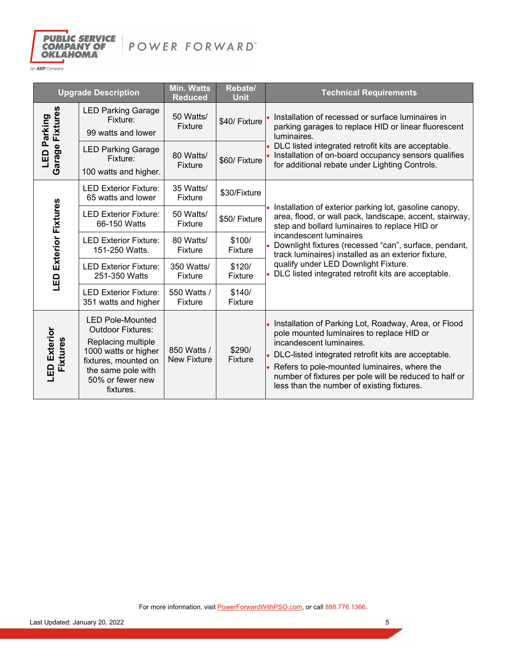

| <b>Upgrade Description</b>           |                                                                                                                                                                                  | <b>Min. Watts</b><br><b>Reduced</b> | Rebate/<br><b>Unit</b>   | <b>Technical Requirements</b>                                                                                                                                                                                                                                                                                                                |
|--------------------------------------|----------------------------------------------------------------------------------------------------------------------------------------------------------------------------------|-------------------------------------|--------------------------|----------------------------------------------------------------------------------------------------------------------------------------------------------------------------------------------------------------------------------------------------------------------------------------------------------------------------------------------|
| Fixtures<br>Parking<br>Garage<br>LED | <b>LED Parking Garage</b><br>Fixture:<br>99 watts and lower                                                                                                                      | 50 Watts/<br><b>Fixture</b>         | \$40/ Fixture            | Installation of recessed or surface luminaires in<br>parking garages to replace HID or linear fluorescent<br>luminaires.                                                                                                                                                                                                                     |
|                                      | <b>LED Parking Garage</b><br>Fixture:<br>100 watts and higher.                                                                                                                   | 80 Watts/<br>Fixture                | \$60/ Fixture            | DLC listed integrated retrofit kits are acceptable.<br>Installation of on-board occupancy sensors qualifies<br>for additional rebate under Lighting Controls.                                                                                                                                                                                |
| <b>LED Exterior Fixtures</b>         | <b>LED Exterior Fixture:</b><br>65 watts and lower                                                                                                                               | 35 Watts/<br>Fixture                | \$30/Fixture             |                                                                                                                                                                                                                                                                                                                                              |
|                                      | <b>LED Exterior Fixture:</b><br>66-150 Watts                                                                                                                                     | 50 Watts/<br>Fixture                | \$50/ Fixture            | Installation of exterior parking lot, gasoline canopy,<br>area, flood, or wall pack, landscape, accent, stairway,<br>step and bollard luminaires to replace HID or                                                                                                                                                                           |
|                                      | <b>LED Exterior Fixture:</b><br>151-250 Watts.                                                                                                                                   | 80 Watts/<br>Fixture                | \$100/<br>Fixture        | incandescent luminaires<br>Downlight fixtures (recessed "can", surface, pendant,<br>track luminaires) installed as an exterior fixture,                                                                                                                                                                                                      |
|                                      | <b>LED Exterior Fixture:</b><br>251-350 Watts                                                                                                                                    | 350 Watts/<br>Fixture               | \$120/<br>Fixture        | qualify under LED Downlight Fixture.<br>DLC listed integrated retrofit kits are acceptable.                                                                                                                                                                                                                                                  |
|                                      | <b>LED Exterior Fixture:</b><br>351 watts and higher                                                                                                                             | 550 Watts /<br>Fixture              | \$140/<br>Fixture        |                                                                                                                                                                                                                                                                                                                                              |
| Exterior<br>Fixtures<br>G            | <b>LED Pole-Mounted</b><br><b>Outdoor Fixtures:</b><br>Replacing multiple<br>1000 watts or higher<br>fixtures, mounted on<br>the same pole with<br>50% or fewer new<br>fixtures. | 850 Watts /<br><b>New Fixture</b>   | \$290/<br><b>Fixture</b> | Installation of Parking Lot, Roadway, Area, or Flood<br>pole mounted luminaires to replace HID or<br>incandescent luminaires.<br>DLC-listed integrated retrofit kits are acceptable.<br>Refers to pole-mounted luminaires, where the<br>number of fixtures per pole will be reduced to half or<br>less than the number of existing fixtures. |